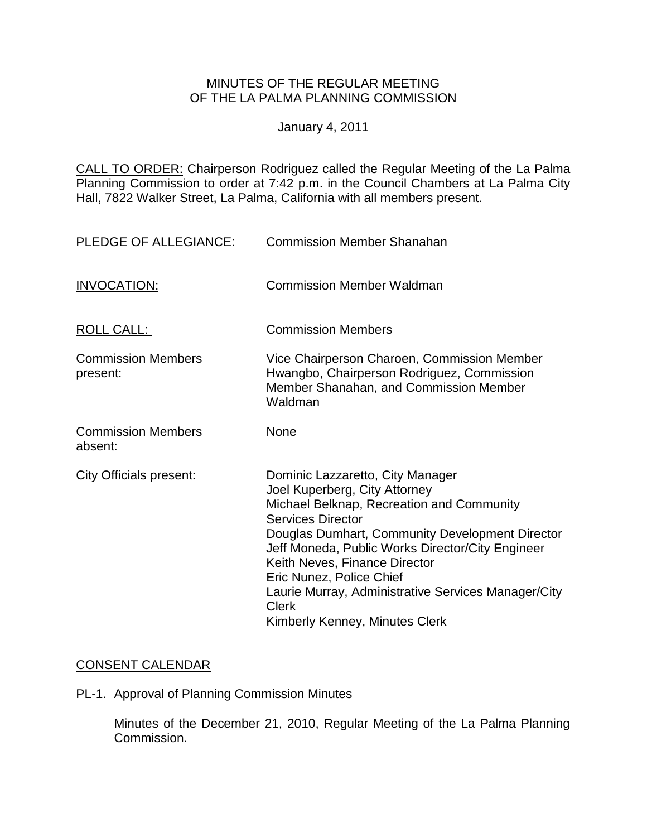## MINUTES OF THE REGULAR MEETING OF THE LA PALMA PLANNING COMMISSION

January 4, 2011

CALL TO ORDER: Chairperson [Rodriguez called the Regular Meeting of the La Palma](http://lapalma.granicus.com/MediaPlayerFrameHandler.php?view_id=&clip_id=541&meta_id=68973)  Planning Commission to order at 7:42 [p.m. in the Council Chambers at La Palma City](http://lapalma.granicus.com/MediaPlayerFrameHandler.php?view_id=&clip_id=541&meta_id=68973)  [Hall, 7822 Walker Street, La Palma, California with all members present.](http://lapalma.granicus.com/MediaPlayerFrameHandler.php?view_id=&clip_id=541&meta_id=68973) 

| PLEDGE OF ALLEGIANCE:                 | <b>Commission Member Shanahan</b>                                                                                                                                                                                                                                                                                                                                                                                       |
|---------------------------------------|-------------------------------------------------------------------------------------------------------------------------------------------------------------------------------------------------------------------------------------------------------------------------------------------------------------------------------------------------------------------------------------------------------------------------|
| <b>INVOCATION:</b>                    | <b>Commission Member Waldman</b>                                                                                                                                                                                                                                                                                                                                                                                        |
| ROLL CALL:                            | <b>Commission Members</b>                                                                                                                                                                                                                                                                                                                                                                                               |
| <b>Commission Members</b><br>present: | Vice Chairperson Charoen, Commission Member<br>Hwangbo, Chairperson Rodriguez, Commission<br>Member Shanahan, and Commission Member<br>Waldman                                                                                                                                                                                                                                                                          |
| <b>Commission Members</b><br>absent:  | None                                                                                                                                                                                                                                                                                                                                                                                                                    |
| City Officials present:               | Dominic Lazzaretto, City Manager<br>Joel Kuperberg, City Attorney<br>Michael Belknap, Recreation and Community<br><b>Services Director</b><br>Douglas Dumhart, Community Development Director<br>Jeff Moneda, Public Works Director/City Engineer<br>Keith Neves, Finance Director<br>Eric Nunez, Police Chief<br>Laurie Murray, Administrative Services Manager/City<br><b>Clerk</b><br>Kimberly Kenney, Minutes Clerk |

# [CONSENT CALENDAR](http://lapalma.granicus.com/MediaPlayerFrameHandler.php?view_id=&clip_id=541&meta_id=69034)

PL-1. Approval of Planning Commission Minutes

Minutes of the December 21, 2010, Regular Meeting of the La Palma Planning Commission.